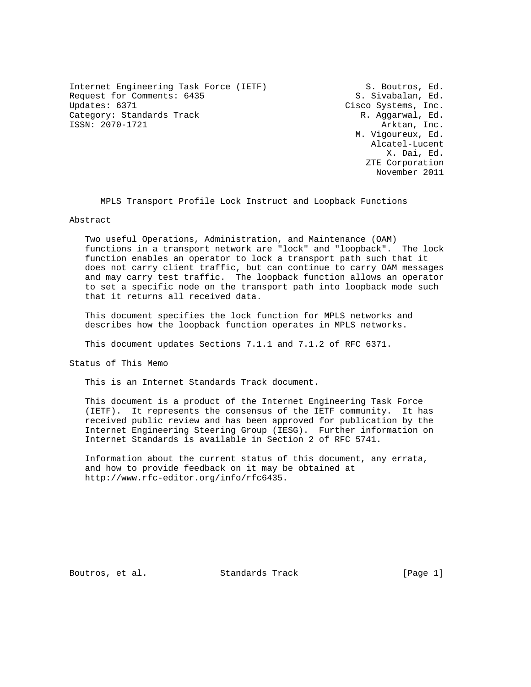Internet Engineering Task Force (IETF) S. Boutros, Ed. Request for Comments: 6435 S. Sivabalan, Ed.<br>Updates: 6371 S. Sivabalan, Ed. Category: Standards Track R. Aggarwal, Ed. ISSN: 2070-1721 Arktan, Inc.

Cisco Systems, Inc. M. Vigoureux, Ed. Alcatel-Lucent X. Dai, Ed. ZTE Corporation November 2011

MPLS Transport Profile Lock Instruct and Loopback Functions

## Abstract

 Two useful Operations, Administration, and Maintenance (OAM) functions in a transport network are "lock" and "loopback". The lock function enables an operator to lock a transport path such that it does not carry client traffic, but can continue to carry OAM messages and may carry test traffic. The loopback function allows an operator to set a specific node on the transport path into loopback mode such that it returns all received data.

 This document specifies the lock function for MPLS networks and describes how the loopback function operates in MPLS networks.

This document updates Sections 7.1.1 and 7.1.2 of RFC 6371.

Status of This Memo

This is an Internet Standards Track document.

 This document is a product of the Internet Engineering Task Force (IETF). It represents the consensus of the IETF community. It has received public review and has been approved for publication by the Internet Engineering Steering Group (IESG). Further information on Internet Standards is available in Section 2 of RFC 5741.

 Information about the current status of this document, any errata, and how to provide feedback on it may be obtained at http://www.rfc-editor.org/info/rfc6435.

Boutros, et al. Standards Track [Page 1]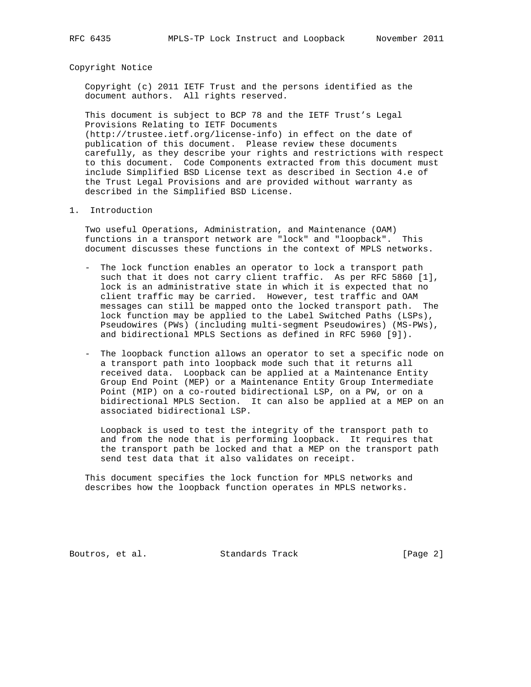### Copyright Notice

 Copyright (c) 2011 IETF Trust and the persons identified as the document authors. All rights reserved.

 This document is subject to BCP 78 and the IETF Trust's Legal Provisions Relating to IETF Documents (http://trustee.ietf.org/license-info) in effect on the date of publication of this document. Please review these documents carefully, as they describe your rights and restrictions with respect to this document. Code Components extracted from this document must include Simplified BSD License text as described in Section 4.e of the Trust Legal Provisions and are provided without warranty as described in the Simplified BSD License.

#### 1. Introduction

 Two useful Operations, Administration, and Maintenance (OAM) functions in a transport network are "lock" and "loopback". This document discusses these functions in the context of MPLS networks.

- The lock function enables an operator to lock a transport path such that it does not carry client traffic. As per RFC 5860 [1], lock is an administrative state in which it is expected that no client traffic may be carried. However, test traffic and OAM messages can still be mapped onto the locked transport path. The lock function may be applied to the Label Switched Paths (LSPs), Pseudowires (PWs) (including multi-segment Pseudowires) (MS-PWs), and bidirectional MPLS Sections as defined in RFC 5960 [9]).
- The loopback function allows an operator to set a specific node on a transport path into loopback mode such that it returns all received data. Loopback can be applied at a Maintenance Entity Group End Point (MEP) or a Maintenance Entity Group Intermediate Point (MIP) on a co-routed bidirectional LSP, on a PW, or on a bidirectional MPLS Section. It can also be applied at a MEP on an associated bidirectional LSP.

 Loopback is used to test the integrity of the transport path to and from the node that is performing loopback. It requires that the transport path be locked and that a MEP on the transport path send test data that it also validates on receipt.

 This document specifies the lock function for MPLS networks and describes how the loopback function operates in MPLS networks.

Boutros, et al. Standards Track [Page 2]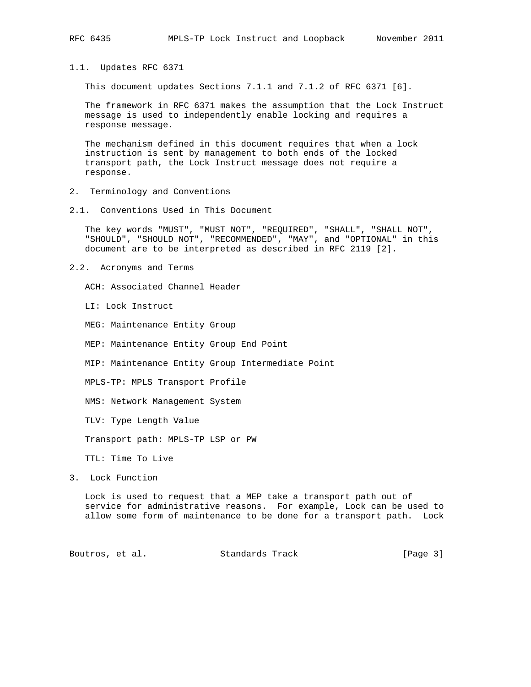- 
- 1.1. Updates RFC 6371

This document updates Sections 7.1.1 and 7.1.2 of RFC 6371 [6].

 The framework in RFC 6371 makes the assumption that the Lock Instruct message is used to independently enable locking and requires a response message.

 The mechanism defined in this document requires that when a lock instruction is sent by management to both ends of the locked transport path, the Lock Instruct message does not require a response.

- 2. Terminology and Conventions
- 2.1. Conventions Used in This Document

 The key words "MUST", "MUST NOT", "REQUIRED", "SHALL", "SHALL NOT", "SHOULD", "SHOULD NOT", "RECOMMENDED", "MAY", and "OPTIONAL" in this document are to be interpreted as described in RFC 2119 [2].

2.2. Acronyms and Terms

ACH: Associated Channel Header

LI: Lock Instruct

MEG: Maintenance Entity Group

MEP: Maintenance Entity Group End Point

MIP: Maintenance Entity Group Intermediate Point

MPLS-TP: MPLS Transport Profile

NMS: Network Management System

TLV: Type Length Value

Transport path: MPLS-TP LSP or PW

TTL: Time To Live

3. Lock Function

 Lock is used to request that a MEP take a transport path out of service for administrative reasons. For example, Lock can be used to allow some form of maintenance to be done for a transport path. Lock

Boutros, et al. Standards Track [Page 3]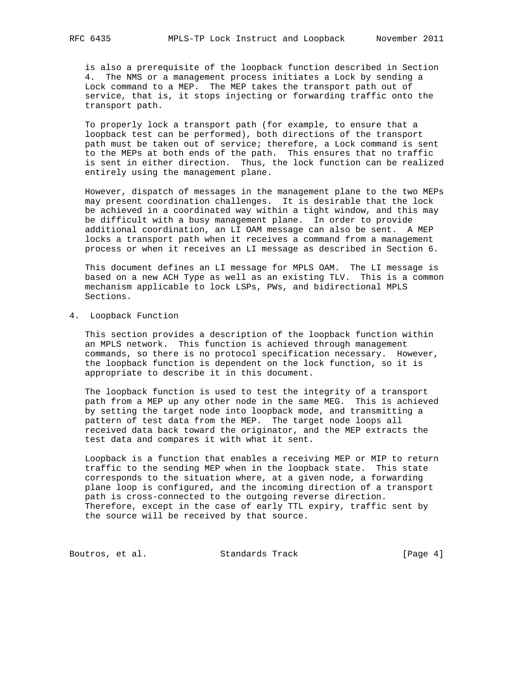is also a prerequisite of the loopback function described in Section 4. The NMS or a management process initiates a Lock by sending a Lock command to a MEP. The MEP takes the transport path out of service, that is, it stops injecting or forwarding traffic onto the transport path.

 To properly lock a transport path (for example, to ensure that a loopback test can be performed), both directions of the transport path must be taken out of service; therefore, a Lock command is sent to the MEPs at both ends of the path. This ensures that no traffic is sent in either direction. Thus, the lock function can be realized entirely using the management plane.

 However, dispatch of messages in the management plane to the two MEPs may present coordination challenges. It is desirable that the lock be achieved in a coordinated way within a tight window, and this may be difficult with a busy management plane. In order to provide additional coordination, an LI OAM message can also be sent. A MEP locks a transport path when it receives a command from a management process or when it receives an LI message as described in Section 6.

 This document defines an LI message for MPLS OAM. The LI message is based on a new ACH Type as well as an existing TLV. This is a common mechanism applicable to lock LSPs, PWs, and bidirectional MPLS Sections.

4. Loopback Function

 This section provides a description of the loopback function within an MPLS network. This function is achieved through management commands, so there is no protocol specification necessary. However, the loopback function is dependent on the lock function, so it is appropriate to describe it in this document.

 The loopback function is used to test the integrity of a transport path from a MEP up any other node in the same MEG. This is achieved by setting the target node into loopback mode, and transmitting a pattern of test data from the MEP. The target node loops all received data back toward the originator, and the MEP extracts the test data and compares it with what it sent.

 Loopback is a function that enables a receiving MEP or MIP to return traffic to the sending MEP when in the loopback state. This state corresponds to the situation where, at a given node, a forwarding plane loop is configured, and the incoming direction of a transport path is cross-connected to the outgoing reverse direction. Therefore, except in the case of early TTL expiry, traffic sent by the source will be received by that source.

Boutros, et al. Standards Track [Page 4]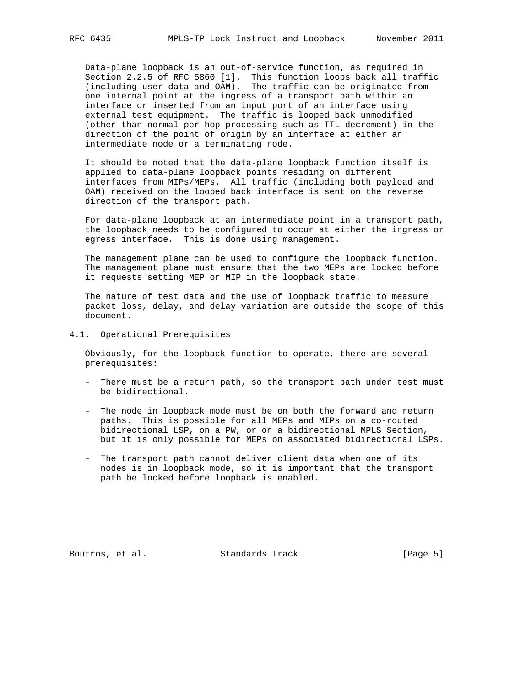Data-plane loopback is an out-of-service function, as required in Section 2.2.5 of RFC 5860 [1]. This function loops back all traffic (including user data and OAM). The traffic can be originated from one internal point at the ingress of a transport path within an interface or inserted from an input port of an interface using external test equipment. The traffic is looped back unmodified (other than normal per-hop processing such as TTL decrement) in the direction of the point of origin by an interface at either an intermediate node or a terminating node.

 It should be noted that the data-plane loopback function itself is applied to data-plane loopback points residing on different interfaces from MIPs/MEPs. All traffic (including both payload and OAM) received on the looped back interface is sent on the reverse direction of the transport path.

 For data-plane loopback at an intermediate point in a transport path, the loopback needs to be configured to occur at either the ingress or egress interface. This is done using management.

 The management plane can be used to configure the loopback function. The management plane must ensure that the two MEPs are locked before it requests setting MEP or MIP in the loopback state.

 The nature of test data and the use of loopback traffic to measure packet loss, delay, and delay variation are outside the scope of this document.

4.1. Operational Prerequisites

 Obviously, for the loopback function to operate, there are several prerequisites:

- There must be a return path, so the transport path under test must be bidirectional.
- The node in loopback mode must be on both the forward and return paths. This is possible for all MEPs and MIPs on a co-routed bidirectional LSP, on a PW, or on a bidirectional MPLS Section, but it is only possible for MEPs on associated bidirectional LSPs.
- The transport path cannot deliver client data when one of its nodes is in loopback mode, so it is important that the transport path be locked before loopback is enabled.

Boutros, et al. Standards Track [Page 5]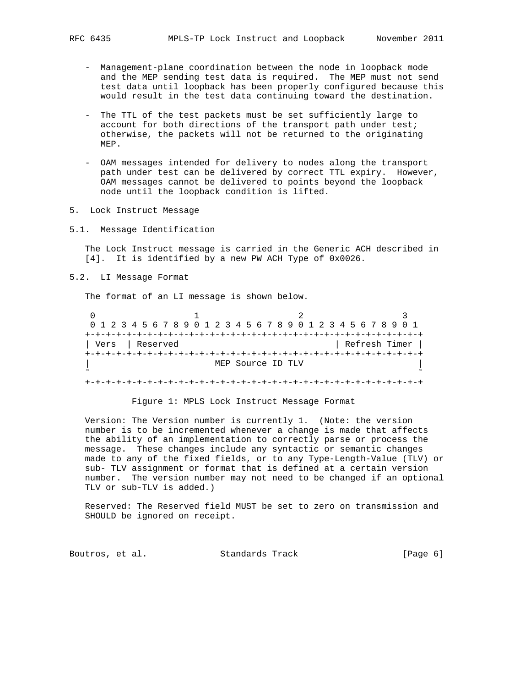- Management-plane coordination between the node in loopback mode and the MEP sending test data is required. The MEP must not send test data until loopback has been properly configured because this would result in the test data continuing toward the destination.
- The TTL of the test packets must be set sufficiently large to account for both directions of the transport path under test; otherwise, the packets will not be returned to the originating MEP.
- OAM messages intended for delivery to nodes along the transport path under test can be delivered by correct TTL expiry. However, OAM messages cannot be delivered to points beyond the loopback node until the loopback condition is lifted.
- 5. Lock Instruct Message
- 5.1. Message Identification

 The Lock Instruct message is carried in the Generic ACH described in [4]. It is identified by a new PW ACH Type of 0x0026.

5.2. LI Message Format

The format of an LI message is shown below.

| 0 1 2 3 4 5 6 7 8 9 0 1 2 3 4 5 6 7 8 9 0 1 2 3 4 5 6 7 8 9 0 1 |                   |               |  |
|-----------------------------------------------------------------|-------------------|---------------|--|
|                                                                 |                   |               |  |
| Vers Reserved                                                   |                   | Refresh Timer |  |
|                                                                 |                   |               |  |
|                                                                 | MEP Source ID TLV |               |  |
|                                                                 |                   |               |  |
|                                                                 |                   |               |  |

### Figure 1: MPLS Lock Instruct Message Format

 Version: The Version number is currently 1. (Note: the version number is to be incremented whenever a change is made that affects the ability of an implementation to correctly parse or process the message. These changes include any syntactic or semantic changes made to any of the fixed fields, or to any Type-Length-Value (TLV) or sub- TLV assignment or format that is defined at a certain version number. The version number may not need to be changed if an optional TLV or sub-TLV is added.)

 Reserved: The Reserved field MUST be set to zero on transmission and SHOULD be ignored on receipt.

Boutros, et al. Standards Track [Page 6]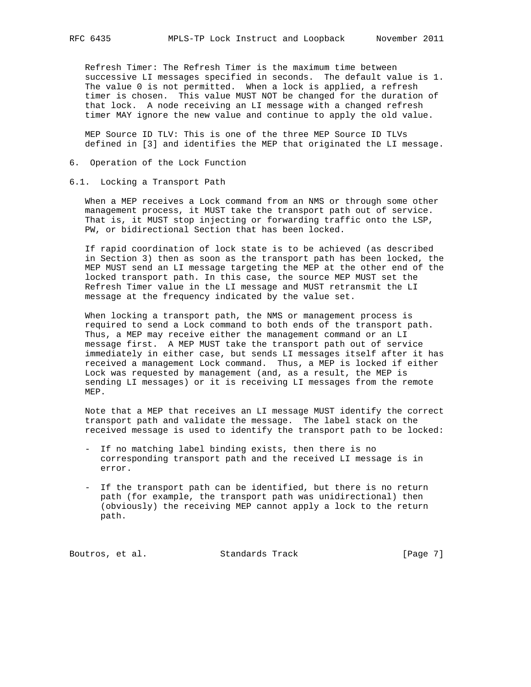Refresh Timer: The Refresh Timer is the maximum time between successive LI messages specified in seconds. The default value is 1. The value 0 is not permitted. When a lock is applied, a refresh timer is chosen. This value MUST NOT be changed for the duration of that lock. A node receiving an LI message with a changed refresh timer MAY ignore the new value and continue to apply the old value.

 MEP Source ID TLV: This is one of the three MEP Source ID TLVs defined in [3] and identifies the MEP that originated the LI message.

- 6. Operation of the Lock Function
- 6.1. Locking a Transport Path

 When a MEP receives a Lock command from an NMS or through some other management process, it MUST take the transport path out of service. That is, it MUST stop injecting or forwarding traffic onto the LSP, PW, or bidirectional Section that has been locked.

 If rapid coordination of lock state is to be achieved (as described in Section 3) then as soon as the transport path has been locked, the MEP MUST send an LI message targeting the MEP at the other end of the locked transport path. In this case, the source MEP MUST set the Refresh Timer value in the LI message and MUST retransmit the LI message at the frequency indicated by the value set.

 When locking a transport path, the NMS or management process is required to send a Lock command to both ends of the transport path. Thus, a MEP may receive either the management command or an LI message first. A MEP MUST take the transport path out of service immediately in either case, but sends LI messages itself after it has received a management Lock command. Thus, a MEP is locked if either Lock was requested by management (and, as a result, the MEP is sending LI messages) or it is receiving LI messages from the remote MEP.

 Note that a MEP that receives an LI message MUST identify the correct transport path and validate the message. The label stack on the received message is used to identify the transport path to be locked:

- If no matching label binding exists, then there is no corresponding transport path and the received LI message is in error.
- If the transport path can be identified, but there is no return path (for example, the transport path was unidirectional) then (obviously) the receiving MEP cannot apply a lock to the return path.

Boutros, et al. Standards Track [Page 7]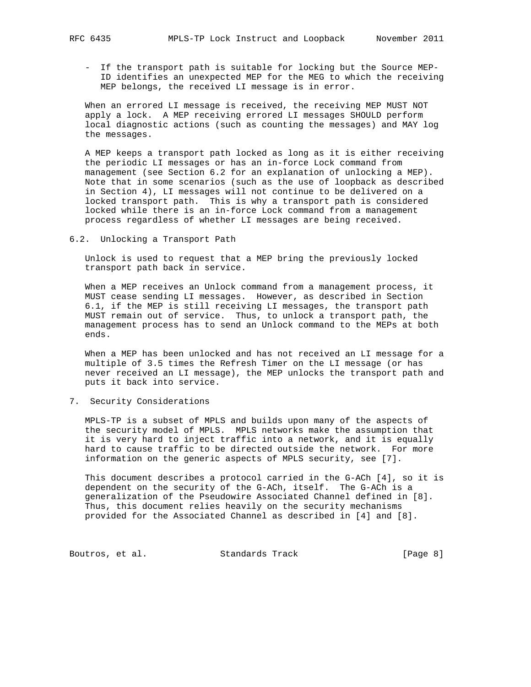- If the transport path is suitable for locking but the Source MEP- ID identifies an unexpected MEP for the MEG to which the receiving MEP belongs, the received LI message is in error.

 When an errored LI message is received, the receiving MEP MUST NOT apply a lock. A MEP receiving errored LI messages SHOULD perform local diagnostic actions (such as counting the messages) and MAY log the messages.

 A MEP keeps a transport path locked as long as it is either receiving the periodic LI messages or has an in-force Lock command from management (see Section 6.2 for an explanation of unlocking a MEP). Note that in some scenarios (such as the use of loopback as described in Section 4), LI messages will not continue to be delivered on a locked transport path. This is why a transport path is considered locked while there is an in-force Lock command from a management process regardless of whether LI messages are being received.

6.2. Unlocking a Transport Path

 Unlock is used to request that a MEP bring the previously locked transport path back in service.

 When a MEP receives an Unlock command from a management process, it MUST cease sending LI messages. However, as described in Section 6.1, if the MEP is still receiving LI messages, the transport path MUST remain out of service. Thus, to unlock a transport path, the management process has to send an Unlock command to the MEPs at both ends.

 When a MEP has been unlocked and has not received an LI message for a multiple of 3.5 times the Refresh Timer on the LI message (or has never received an LI message), the MEP unlocks the transport path and puts it back into service.

7. Security Considerations

 MPLS-TP is a subset of MPLS and builds upon many of the aspects of the security model of MPLS. MPLS networks make the assumption that it is very hard to inject traffic into a network, and it is equally hard to cause traffic to be directed outside the network. For more information on the generic aspects of MPLS security, see [7].

 This document describes a protocol carried in the G-ACh [4], so it is dependent on the security of the G-ACh, itself. The G-ACh is a generalization of the Pseudowire Associated Channel defined in [8]. Thus, this document relies heavily on the security mechanisms provided for the Associated Channel as described in [4] and [8].

Boutros, et al. Standards Track [Page 8]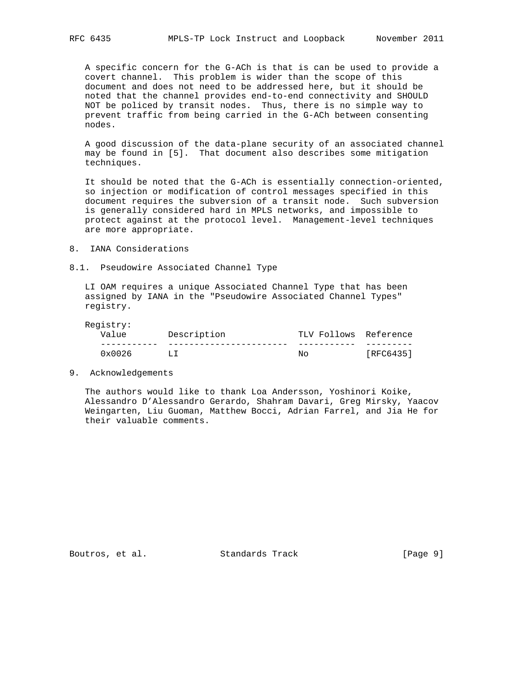A specific concern for the G-ACh is that is can be used to provide a covert channel. This problem is wider than the scope of this document and does not need to be addressed here, but it should be noted that the channel provides end-to-end connectivity and SHOULD NOT be policed by transit nodes. Thus, there is no simple way to prevent traffic from being carried in the G-ACh between consenting nodes.

 A good discussion of the data-plane security of an associated channel may be found in [5]. That document also describes some mitigation techniques.

 It should be noted that the G-ACh is essentially connection-oriented, so injection or modification of control messages specified in this document requires the subversion of a transit node. Such subversion is generally considered hard in MPLS networks, and impossible to protect against at the protocol level. Management-level techniques are more appropriate.

8. IANA Considerations

## 8.1. Pseudowire Associated Channel Type

 LI OAM requires a unique Associated Channel Type that has been assigned by IANA in the "Pseudowire Associated Channel Types" registry.

Registry:

| Value           | Description | TLV Follows Reference |           |
|-----------------|-------------|-----------------------|-----------|
|                 |             |                       |           |
| $0 \times 0026$ | T.T         | Nω                    | [RFC6435] |

9. Acknowledgements

 The authors would like to thank Loa Andersson, Yoshinori Koike, Alessandro D'Alessandro Gerardo, Shahram Davari, Greg Mirsky, Yaacov Weingarten, Liu Guoman, Matthew Bocci, Adrian Farrel, and Jia He for their valuable comments.

Boutros, et al. Standards Track [Page 9]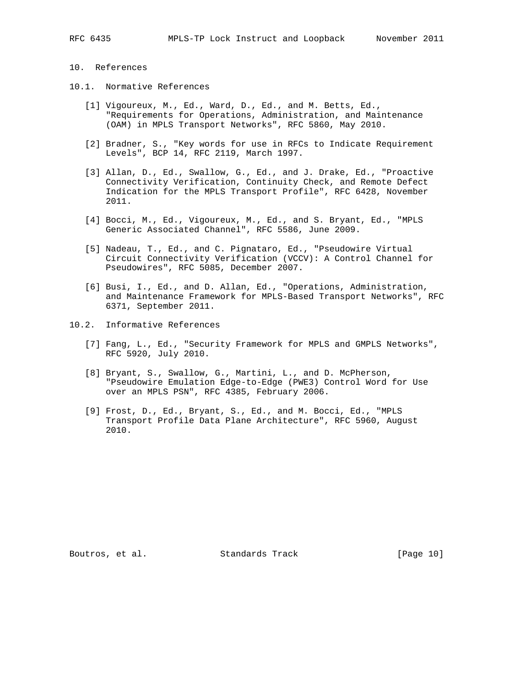# 10. References

- 10.1. Normative References
	- [1] Vigoureux, M., Ed., Ward, D., Ed., and M. Betts, Ed., "Requirements for Operations, Administration, and Maintenance (OAM) in MPLS Transport Networks", RFC 5860, May 2010.
	- [2] Bradner, S., "Key words for use in RFCs to Indicate Requirement Levels", BCP 14, RFC 2119, March 1997.
	- [3] Allan, D., Ed., Swallow, G., Ed., and J. Drake, Ed., "Proactive Connectivity Verification, Continuity Check, and Remote Defect Indication for the MPLS Transport Profile", RFC 6428, November 2011.
	- [4] Bocci, M., Ed., Vigoureux, M., Ed., and S. Bryant, Ed., "MPLS Generic Associated Channel", RFC 5586, June 2009.
	- [5] Nadeau, T., Ed., and C. Pignataro, Ed., "Pseudowire Virtual Circuit Connectivity Verification (VCCV): A Control Channel for Pseudowires", RFC 5085, December 2007.
	- [6] Busi, I., Ed., and D. Allan, Ed., "Operations, Administration, and Maintenance Framework for MPLS-Based Transport Networks", RFC 6371, September 2011.
- 10.2. Informative References
	- [7] Fang, L., Ed., "Security Framework for MPLS and GMPLS Networks", RFC 5920, July 2010.
	- [8] Bryant, S., Swallow, G., Martini, L., and D. McPherson, "Pseudowire Emulation Edge-to-Edge (PWE3) Control Word for Use over an MPLS PSN", RFC 4385, February 2006.
	- [9] Frost, D., Ed., Bryant, S., Ed., and M. Bocci, Ed., "MPLS Transport Profile Data Plane Architecture", RFC 5960, August 2010.

Boutros, et al. Standards Track [Page 10]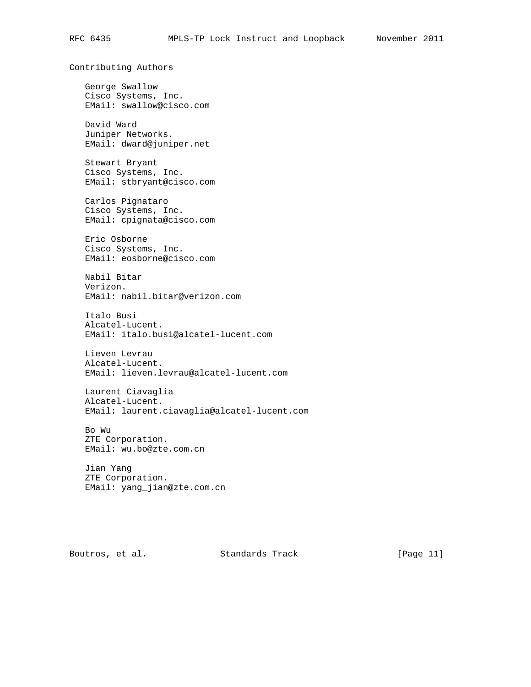```
Contributing Authors
 George Swallow
 Cisco Systems, Inc.
 EMail: swallow@cisco.com
 David Ward
 Juniper Networks.
 EMail: dward@juniper.net
 Stewart Bryant
 Cisco Systems, Inc.
 EMail: stbryant@cisco.com
 Carlos Pignataro
 Cisco Systems, Inc.
 EMail: cpignata@cisco.com
 Eric Osborne
 Cisco Systems, Inc.
 EMail: eosborne@cisco.com
Nabil Bitar
 Verizon.
 EMail: nabil.bitar@verizon.com
 Italo Busi
 Alcatel-Lucent.
 EMail: italo.busi@alcatel-lucent.com
Lieven Levrau
 Alcatel-Lucent.
 EMail: lieven.levrau@alcatel-lucent.com
Laurent Ciavaglia
 Alcatel-Lucent.
 EMail: laurent.ciavaglia@alcatel-lucent.com
 Bo Wu
 ZTE Corporation.
 EMail: wu.bo@zte.com.cn
 Jian Yang
 ZTE Corporation.
 EMail: yang_jian@zte.com.cn
```
Boutros, et al. Standards Track [Page 11]